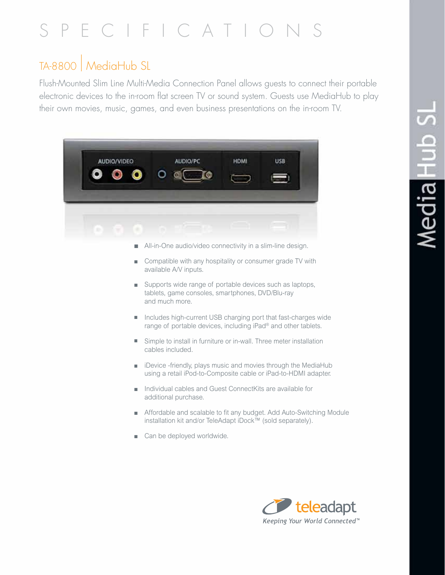# S P E C I F I C A T I O N S

### TA-8800 | MediaHub SL

Flush-Mounted Slim Line Multi-Media Connection Panel allows guests to connect their portable electronic devices to the in-room flat screen TV or sound system. Guests use MediaHub to play their own movies, music, games, and even business presentations on the in-room TV.

| <b>AUDIO/VIDEO</b>                                         |   | AUDIO/PC                                                                                                                                                                                                                                                                      | <b>HDMI</b> | <b>USB</b> |  |
|------------------------------------------------------------|---|-------------------------------------------------------------------------------------------------------------------------------------------------------------------------------------------------------------------------------------------------------------------------------|-------------|------------|--|
|                                                            |   |                                                                                                                                                                                                                                                                               |             |            |  |
|                                                            |   |                                                                                                                                                                                                                                                                               |             |            |  |
| All-in-One audio/video connectivity in a slim-line design. |   |                                                                                                                                                                                                                                                                               |             |            |  |
|                                                            | ٠ | Compatible with any hospitality or consumer grade TV with<br>available A/V inputs.                                                                                                                                                                                            |             |            |  |
|                                                            | п | Supports wide range of portable devices such as laptops,<br>tablets, game consoles, smartphones, DVD/Blu-ray<br>and much more.<br>Includes high-current USB charging port that fast-charges wide<br>range of portable devices, including iPad <sup>®</sup> and other tablets. |             |            |  |
|                                                            | ш |                                                                                                                                                                                                                                                                               |             |            |  |
|                                                            | п | Simple to install in furniture or in-wall. Three meter installation<br>cables included.                                                                                                                                                                                       |             |            |  |
|                                                            | п | iDevice -friendly, plays music and movies through the MediaHub<br>using a retail iPod-to-Composite cable or iPad-to-HDMI adapter.                                                                                                                                             |             |            |  |

- <sup>n</sup> Individual cables and Guest ConnectKits are available for additional purchase.
- <sup>n</sup> Affordable and scalable to fit any budget. Add Auto-Switching Module installation kit and/or TeleAdapt iDock™ (sold separately).
- Can be deployed worldwide.